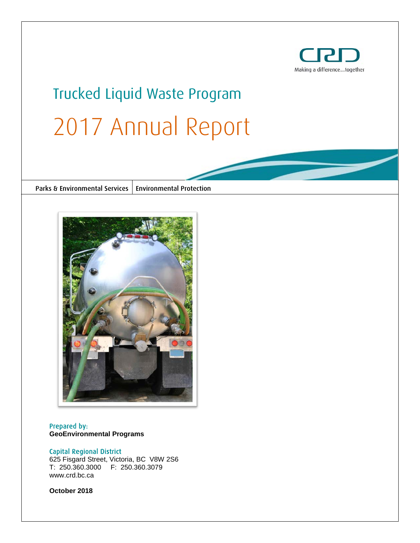

# Trucked Liquid Waste Program 2017 Annual Report

Parks & Environmental Services | Environmental Protection



# Prepared by: **GeoEnvironmental Programs**

#### Capital Regional District

625 Fisgard Street, Victoria, BC V8W 2S6 T: 250.360.3000 F: 250.360.3079 www.crd.bc.ca

**October 2018**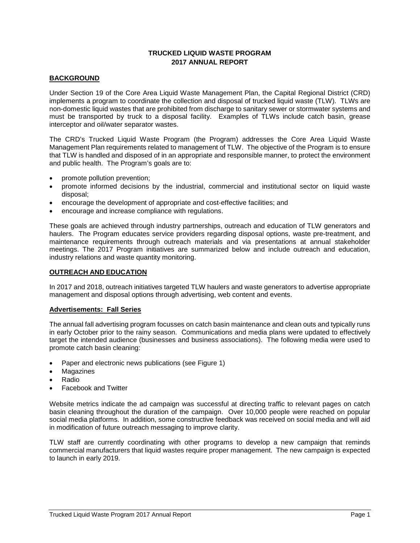# **TRUCKED LIQUID WASTE PROGRAM 2017 ANNUAL REPORT**

## **BACKGROUND**

Under Section 19 of the Core Area Liquid Waste Management Plan, the Capital Regional District (CRD) implements a program to coordinate the collection and disposal of trucked liquid waste (TLW). TLWs are non-domestic liquid wastes that are prohibited from discharge to sanitary sewer or stormwater systems and must be transported by truck to a disposal facility. Examples of TLWs include catch basin, grease interceptor and oil/water separator wastes.

The CRD's Trucked Liquid Waste Program (the Program) addresses the Core Area Liquid Waste Management Plan requirements related to management of TLW. The objective of the Program is to ensure that TLW is handled and disposed of in an appropriate and responsible manner, to protect the environment and public health. The Program's goals are to:

- promote pollution prevention;
- promote informed decisions by the industrial, commercial and institutional sector on liquid waste disposal;
- encourage the development of appropriate and cost-effective facilities; and
- encourage and increase compliance with regulations.

These goals are achieved through industry partnerships, outreach and education of TLW generators and haulers. The Program educates service providers regarding disposal options, waste pre-treatment, and maintenance requirements through outreach materials and via presentations at annual stakeholder meetings. The 2017 Program initiatives are summarized below and include outreach and education, industry relations and waste quantity monitoring.

#### **OUTREACH AND EDUCATION**

In 2017 and 2018, outreach initiatives targeted TLW haulers and waste generators to advertise appropriate management and disposal options through advertising, web content and events.

#### **Advertisements: Fall Series**

The annual fall advertising program focusses on catch basin maintenance and clean outs and typically runs in early October prior to the rainy season. Communications and media plans were updated to effectively target the intended audience (businesses and business associations). The following media were used to promote catch basin cleaning:

- Paper and electronic news publications (see Figure 1)
- **Magazines**
- Radio
- Facebook and Twitter

Website metrics indicate the ad campaign was successful at directing traffic to relevant pages on catch basin cleaning throughout the duration of the campaign. Over 10,000 people were reached on popular social media platforms. In addition, some constructive feedback was received on social media and will aid in modification of future outreach messaging to improve clarity.

TLW staff are currently coordinating with other programs to develop a new campaign that reminds commercial manufacturers that liquid wastes require proper management. The new campaign is expected to launch in early 2019.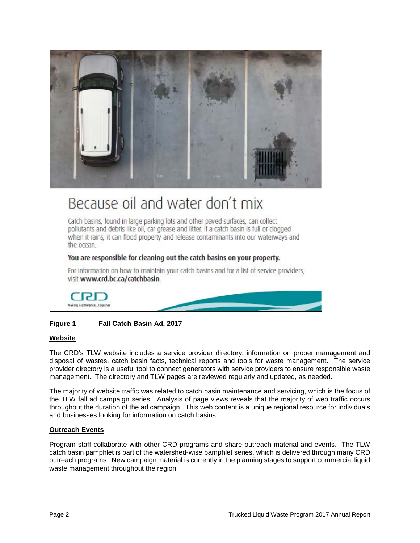

# Because oil and water don't mix

Catch basins, found in large parking lots and other paved surfaces, can collect pollutants and debris like oil, car grease and litter. If a catch basin is full or clogged when it rains, it can flood property and release contaminants into our waterways and the ocean.

# You are responsible for cleaning out the catch basins on your property.

For information on how to maintain your catch basins and for a list of service providers, visit www.crd.bc.ca/catchbasin.



# **Figure 1 Fall Catch Basin Ad, 2017**

# **Website**

The CRD's TLW website includes a service provider directory, information on proper management and disposal of wastes, catch basin facts, technical reports and tools for waste management. The service provider directory is a useful tool to connect generators with service providers to ensure responsible waste management. The directory and TLW pages are reviewed regularly and updated, as needed.

The majority of website traffic was related to catch basin maintenance and servicing, which is the focus of the TLW fall ad campaign series. Analysis of page views reveals that the majority of web traffic occurs throughout the duration of the ad campaign. This web content is a unique regional resource for individuals and businesses looking for information on catch basins.

# **Outreach Events**

Program staff collaborate with other CRD programs and share outreach material and events. The TLW catch basin pamphlet is part of the watershed-wise pamphlet series, which is delivered through many CRD outreach programs. New campaign material is currently in the planning stages to support commercial liquid waste management throughout the region.